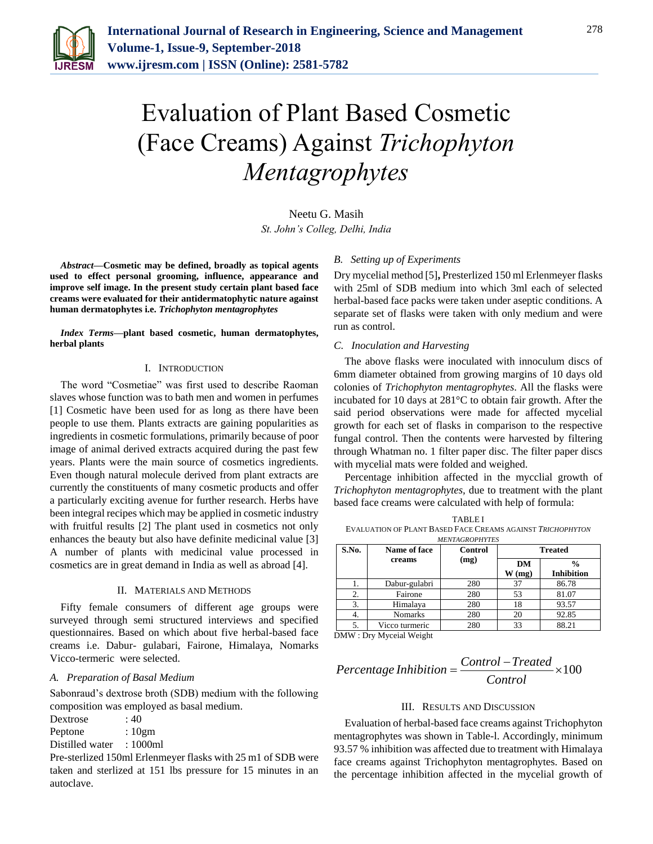

# Evaluation of Plant Based Cosmetic (Face Creams) Against *Trichophyton Mentagrophytes*

Neetu G. Masih *St. John's Colleg, Delhi, India*

*Abstract***—Cosmetic may be defined, broadly as topical agents used to effect personal grooming, influence, appearance and improve self image. In the present study certain plant based face creams were evaluated for their antidermatophytic nature against human dermatophytes i.e.** *Trichophyton mentagrophytes* 

*Index Terms***—plant based cosmetic, human dermatophytes, herbal plants**

#### I. INTRODUCTION

The word "Cosmetiae" was first used to describe Raoman slaves whose function was to bath men and women in perfumes [1] Cosmetic have been used for as long as there have been people to use them. Plants extracts are gaining popularities as ingredients in cosmetic formulations, primarily because of poor image of animal derived extracts acquired during the past few years. Plants were the main source of cosmetics ingredients. Even though natural molecule derived from plant extracts are currently the constituents of many cosmetic products and offer a particularly exciting avenue for further research. Herbs have been integral recipes which may be applied in cosmetic industry with fruitful results [2] The plant used in cosmetics not only enhances the beauty but also have definite medicinal value [3] A number of plants with medicinal value processed in cosmetics are in great demand in India as well as abroad [4].

#### II. MATERIALS AND METHODS

Fifty female consumers of different age groups were surveyed through semi structured interviews and specified questionnaires. Based on which about five herbal-based face creams i.e. Dabur- gulabari, Fairone, Himalaya, Nomarks Vicco-termeric were selected.

#### *A. Preparation of Basal Medium*

Sabonraud's dextrose broth (SDB) medium with the following composition was employed as basal medium.

Dextrose : 40

Peptone : 10gm

Distilled water : 1000ml

Pre-sterlized 150ml Erlenmeyer flasks with 25 m1 of SDB were taken and sterlized at 151 lbs pressure for 15 minutes in an autoclave.

#### *B. Setting up of Experiments*

Dry mycelial method [5]**,** Presterlized 150 ml Erlenmeyer flasks with 25ml of SDB medium into which 3ml each of selected herbal-based face packs were taken under aseptic conditions. A separate set of flasks were taken with only medium and were run as control.

#### *C. Inoculation and Harvesting*

The above flasks were inoculated with innoculum discs of 6mm diameter obtained from growing margins of 10 days old colonies of *Trichophyton mentagrophytes*. All the flasks were incubated for 10 days at 281°C to obtain fair growth. After the said period observations were made for affected mycelial growth for each set of flasks in comparison to the respective fungal control. Then the contents were harvested by filtering through Whatman no. 1 filter paper disc. The filter paper discs with mycelial mats were folded and weighed.

Percentage inhibition affected in the mycclial growth of *Trichophyton mentagrophytes,* due to treatment with the plant based face creams were calculated with help of formula:

| <b>TABLEI</b>                                              |
|------------------------------------------------------------|
| EVALUATION OF PLANT BASED FACE CREAMS AGAINST TRICHOPHYTON |
| <b>HENTHODODIVED</b> C                                     |

| S.No. | Name of face<br>creams | Control<br>(mg) | <b>Treated</b> |                                    |
|-------|------------------------|-----------------|----------------|------------------------------------|
|       |                        |                 | DM<br>W(mg)    | $\frac{0}{0}$<br><b>Inhibition</b> |
| ı.    | Dabur-gulabri          | 280             | 37             | 86.78                              |
| 2.    | Fairone                | 280             | 53             | 81.07                              |
| 3.    | Himalaya               | 280             | 18             | 93.57                              |
| 4.    | <b>Nomarks</b>         | 280             | 20             | 92.85                              |
| 5.    | Vicco turmeric         | 280             | 33             | 88.21                              |

DMW : Dry Myceial Weight

## <sup>100</sup> *Control Treated Percentage Inhibition Control*  $=\frac{Comrou-Treueu}{x}$

### III. RESULTS AND DISCUSSION

Evaluation of herbal-based face creams against Trichophyton mentagrophytes was shown in Table-l. Accordingly, minimum 93.57 % inhibition was affected due to treatment with Himalaya face creams against Trichophyton mentagrophytes. Based on the percentage inhibition affected in the mycelial growth of